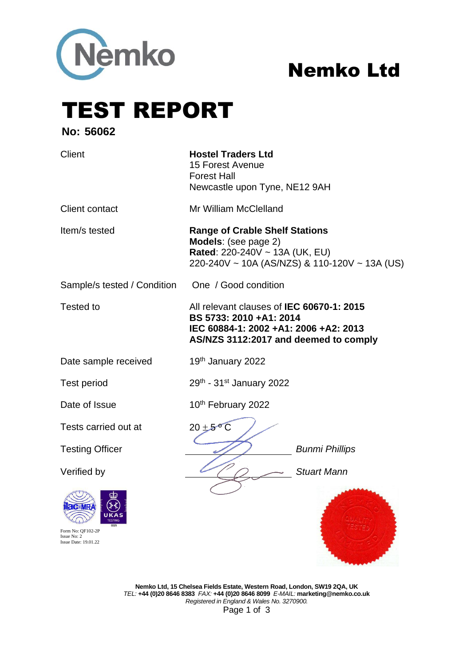

# Nemko Ltd

**REGISTER COMPANY** 

TEST REPORT

**No: 56062**

| <b>Client</b>                                                   | <b>Hostel Traders Ltd</b><br>15 Forest Avenue<br><b>Forest Hall</b><br>Newcastle upon Tyne, NE12 9AH                                                   |  |  |
|-----------------------------------------------------------------|--------------------------------------------------------------------------------------------------------------------------------------------------------|--|--|
| <b>Client contact</b>                                           | Mr William McClelland                                                                                                                                  |  |  |
| Item/s tested                                                   | <b>Range of Crable Shelf Stations</b><br>Models: (see page 2)<br>Rated: 220-240V ~ 13A (UK, EU)<br>220-240V ~ 10A (AS/NZS) & 110-120V ~ 13A (US)       |  |  |
| Sample/s tested / Condition                                     | One / Good condition                                                                                                                                   |  |  |
| <b>Tested to</b>                                                | All relevant clauses of IEC 60670-1: 2015<br>BS 5733: 2010 +A1: 2014<br>IEC 60884-1: 2002 +A1: 2006 +A2: 2013<br>AS/NZS 3112:2017 and deemed to comply |  |  |
| Date sample received                                            | 19th January 2022                                                                                                                                      |  |  |
| <b>Test period</b>                                              | 29th - 31st January 2022                                                                                                                               |  |  |
| Date of Issue                                                   | 10th February 2022                                                                                                                                     |  |  |
| Tests carried out at                                            | $20 \pm 5^{\circ}$ C                                                                                                                                   |  |  |
| <b>Testing Officer</b>                                          | <b>Bunmi Phillips</b>                                                                                                                                  |  |  |
| Verified by                                                     | <b>Stuart Mann</b>                                                                                                                                     |  |  |
| Form No: OF102-2P<br>Issue No: 2<br><b>Issue Date: 19.01.22</b> |                                                                                                                                                        |  |  |

**Nemko Ltd, 15 Chelsea Fields Estate, Western Road, London, SW19 2QA, UK** *TEL:* **+44 (0)20 8646 8383** *FAX:* **+44 (0)20 8646 8099** *E-MAIL:* **marketing@nemko.co.uk** *Registered in England & Wales No. 3270900.*  Page 1 of 3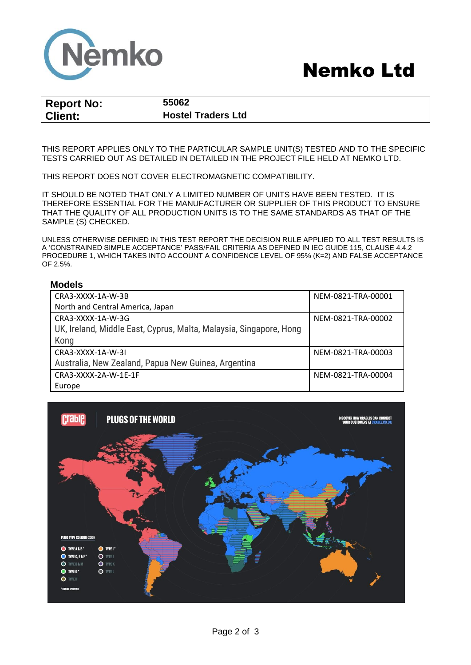

## Nemko Ltd

| <b>Report No:</b> |  |
|-------------------|--|
| <b>Client:</b>    |  |

**Report No: 55062 Client: Hostel Traders Ltd**

THIS REPORT APPLIES ONLY TO THE PARTICULAR SAMPLE UNIT(S) TESTED AND TO THE SPECIFIC TESTS CARRIED OUT AS DETAILED IN DETAILED IN THE PROJECT FILE HELD AT NEMKO LTD.

THIS REPORT DOES NOT COVER ELECTROMAGNETIC COMPATIBILITY.

IT SHOULD BE NOTED THAT ONLY A LIMITED NUMBER OF UNITS HAVE BEEN TESTED. IT IS THEREFORE ESSENTIAL FOR THE MANUFACTURER OR SUPPLIER OF THIS PRODUCT TO ENSURE THAT THE QUALITY OF ALL PRODUCTION UNITS IS TO THE SAME STANDARDS AS THAT OF THE SAMPLE (S) CHECKED.

UNLESS OTHERWISE DEFINED IN THIS TEST REPORT THE DECISION RULE APPLIED TO ALL TEST RESULTS IS A 'CONSTRAINED SIMPLE ACCEPTANCE' PASS/FAIL CRITERIA AS DEFINED IN IEC GUIDE 115, CLAUSE 4.4.2 PROCEDURE 1, WHICH TAKES INTO ACCOUNT A CONFIDENCE LEVEL OF 95% (K=2) AND FALSE ACCEPTANCE OF 2.5%.

### **Models**

| CRA3-XXXX-1A-W-3B                                                  | NEM-0821-TRA-00001 |
|--------------------------------------------------------------------|--------------------|
| North and Central America, Japan                                   |                    |
| CRA3-XXXX-1A-W-3G                                                  | NEM-0821-TRA-00002 |
| UK, Ireland, Middle East, Cyprus, Malta, Malaysia, Singapore, Hong |                    |
| Kong                                                               |                    |
| CRA3-XXXX-1A-W-3I                                                  | NEM-0821-TRA-00003 |
| Australia, New Zealand, Papua New Guinea, Argentina                |                    |
| CRA3-XXXX-2A-W-1E-1F                                               | NEM-0821-TRA-00004 |
| Europe                                                             |                    |